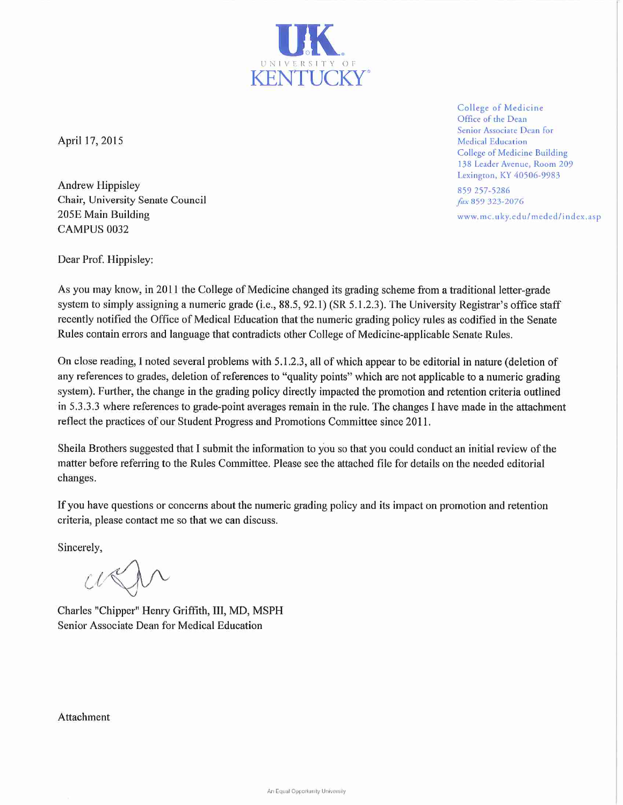

April 17, 2015

**Andrew Hippisley** Chair, University Senate Council 205E Main Building CAMPUS 0032

College of Medicine Office of the Dean Senior Associate Dean for **Medical Education** College of Medicine Building 138 Leader Avenue, Room 209 Lexington, KY 40506-9983

859 257-5286 fax 859 323-2076 www.mc.uky.edu/meded/index.asp

Dear Prof. Hippisley:

As you may know, in 2011 the College of Medicine changed its grading scheme from a traditional letter-grade system to simply assigning a numeric grade (i.e.,  $88.5$ ,  $92.1$ ) (SR 5.1.2.3). The University Registrar's office staff recently notified the Office of Medical Education that the numeric grading policy rules as codified in the Senate Rules contain errors and language that contradicts other College of Medicine-applicable Senate Rules.

On close reading, I noted several problems with 5.1.2.3, all of which appear to be editorial in nature (deletion of any references to grades, deletion of references to "quality points" which are not applicable to a numeric grading system). Further, the change in the grading policy directly impacted the promotion and retention criteria outlined in 5.3.3.3 where references to grade-point averages remain in the rule. The changes I have made in the attachment reflect the practices of our Student Progress and Promotions Committee since 2011.

Sheila Brothers suggested that I submit the information to you so that you could conduct an initial review of the matter before referring to the Rules Committee. Please see the attached file for details on the needed editorial changes.

If you have questions or concerns about the numeric grading policy and its impact on promotion and retention criteria, please contact me so that we can discuss.

Sincerely,

Charles "Chipper" Henry Griffith, III, MD, MSPH Senior Associate Dean for Medical Education

Attachment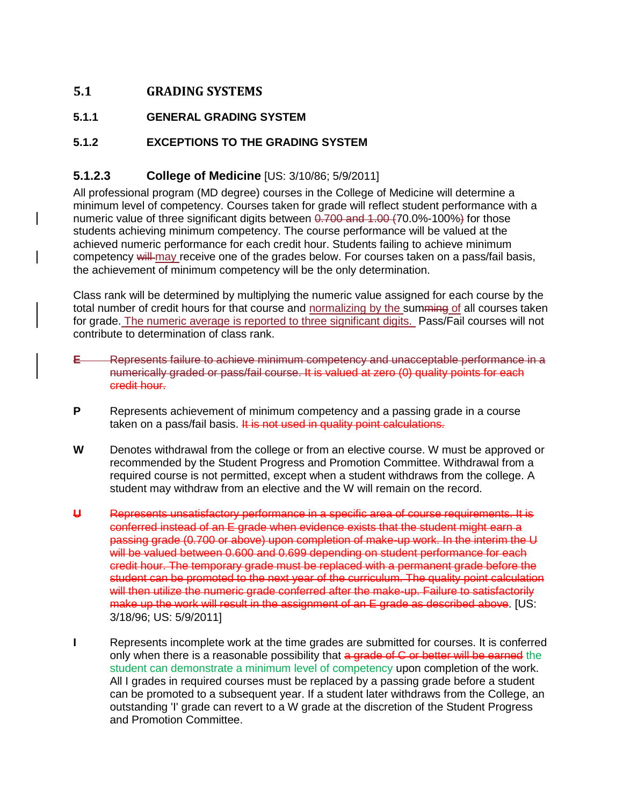# **5.1 GRADING SYSTEMS**

### **5.1.1 GENERAL GRADING SYSTEM**

### **5.1.2 EXCEPTIONS TO THE GRADING SYSTEM**

## **5.1.2.3 College of Medicine** [US: 3/10/86; 5/9/2011]

All professional program (MD degree) courses in the College of Medicine will determine a minimum level of competency. Courses taken for grade will reflect student performance with a numeric value of three significant digits between 0.700 and 1.00 (70.0%-100%) for those students achieving minimum competency. The course performance will be valued at the achieved numeric performance for each credit hour. Students failing to achieve minimum competency will may receive one of the grades below. For courses taken on a pass/fail basis, the achievement of minimum competency will be the only determination.

Class rank will be determined by multiplying the numeric value assigned for each course by the total number of credit hours for that course and normalizing by the summing of all courses taken for grade. The numeric average is reported to three significant digits. Pass/Fail courses will not contribute to determination of class rank.

- **E** Represents failure to achieve minimum competency and unacceptable performance in a numerically graded or pass/fail course. It is valued at zero (0) quality points for each credit hour.
- **P** Represents achievement of minimum competency and a passing grade in a course taken on a pass/fail basis. It is not used in quality point calculations.
- **W** Denotes withdrawal from the college or from an elective course. W must be approved or recommended by the Student Progress and Promotion Committee. Withdrawal from a required course is not permitted, except when a student withdraws from the college. A student may withdraw from an elective and the W will remain on the record.
- **U** Represents unsatisfactory performance in a specific area of course requirements. It is conferred instead of an E grade when evidence exists that the student might earn a passing grade (0.700 or above) upon completion of make-up work. In the interim the U will be valued between 0.600 and 0.699 depending on student performance for each credit hour. The temporary grade must be replaced with a permanent grade before the student can be promoted to the next year of the curriculum. The quality point calculation will then utilize the numeric grade conferred after the make-up. Failure to satisfactorily make up the work will result in the assignment of an E grade as described above. [US: 3/18/96; US: 5/9/2011]
- **I** Represents incomplete work at the time grades are submitted for courses. It is conferred only when there is a reasonable possibility that a grade of C or better will be earned the student can demonstrate a minimum level of competency upon completion of the work. All I grades in required courses must be replaced by a passing grade before a student can be promoted to a subsequent year. If a student later withdraws from the College, an outstanding 'I' grade can revert to a W grade at the discretion of the Student Progress and Promotion Committee.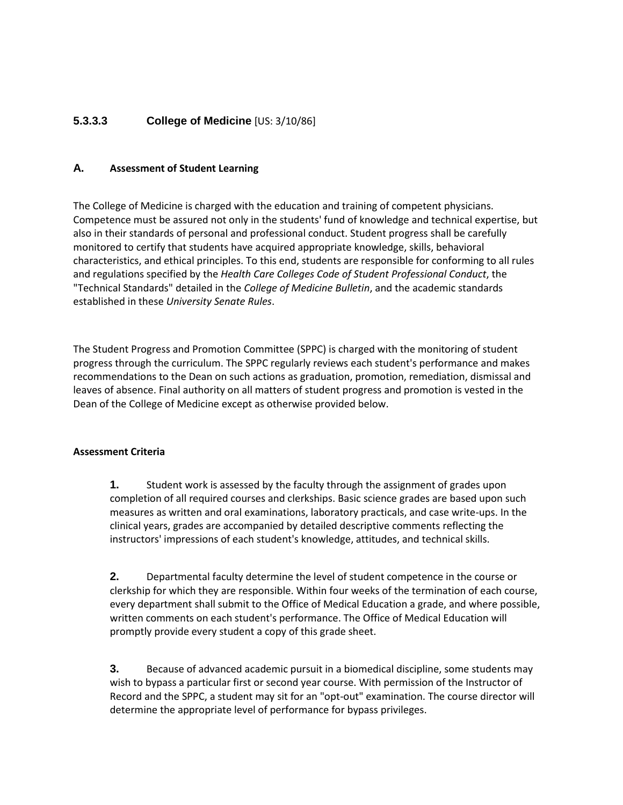## **5.3.3.3 College of Medicine** [US: 3/10/86]

#### **A. Assessment of Student Learning**

The College of Medicine is charged with the education and training of competent physicians. Competence must be assured not only in the students' fund of knowledge and technical expertise, but also in their standards of personal and professional conduct. Student progress shall be carefully monitored to certify that students have acquired appropriate knowledge, skills, behavioral characteristics, and ethical principles. To this end, students are responsible for conforming to all rules and regulations specified by the *Health Care Colleges Code of Student Professional Conduct*, the "Technical Standards" detailed in the *College of Medicine Bulletin*, and the academic standards established in these *University Senate Rules*.

The Student Progress and Promotion Committee (SPPC) is charged with the monitoring of student progress through the curriculum. The SPPC regularly reviews each student's performance and makes recommendations to the Dean on such actions as graduation, promotion, remediation, dismissal and leaves of absence. Final authority on all matters of student progress and promotion is vested in the Dean of the College of Medicine except as otherwise provided below.

#### **Assessment Criteria**

**1.** Student work is assessed by the faculty through the assignment of grades upon completion of all required courses and clerkships. Basic science grades are based upon such measures as written and oral examinations, laboratory practicals, and case write-ups. In the clinical years, grades are accompanied by detailed descriptive comments reflecting the instructors' impressions of each student's knowledge, attitudes, and technical skills.

**2.** Departmental faculty determine the level of student competence in the course or clerkship for which they are responsible. Within four weeks of the termination of each course, every department shall submit to the Office of Medical Education a grade, and where possible, written comments on each student's performance. The Office of Medical Education will promptly provide every student a copy of this grade sheet.

**3.** Because of advanced academic pursuit in a biomedical discipline, some students may wish to bypass a particular first or second year course. With permission of the Instructor of Record and the SPPC, a student may sit for an "opt-out" examination. The course director will determine the appropriate level of performance for bypass privileges.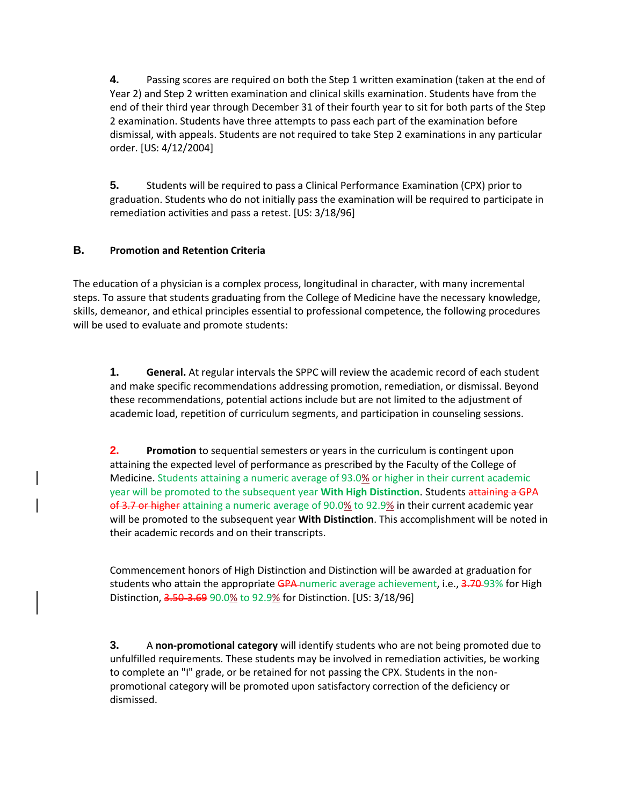**4.** Passing scores are required on both the Step 1 written examination (taken at the end of Year 2) and Step 2 written examination and clinical skills examination. Students have from the end of their third year through December 31 of their fourth year to sit for both parts of the Step 2 examination. Students have three attempts to pass each part of the examination before dismissal, with appeals. Students are not required to take Step 2 examinations in any particular order. [US: 4/12/2004]

**5.** Students will be required to pass a Clinical Performance Examination (CPX) prior to graduation. Students who do not initially pass the examination will be required to participate in remediation activities and pass a retest. [US: 3/18/96]

### **B. Promotion and Retention Criteria**

The education of a physician is a complex process, longitudinal in character, with many incremental steps. To assure that students graduating from the College of Medicine have the necessary knowledge, skills, demeanor, and ethical principles essential to professional competence, the following procedures will be used to evaluate and promote students:

**1. General.** At regular intervals the SPPC will review the academic record of each student and make specific recommendations addressing promotion, remediation, or dismissal. Beyond these recommendations, potential actions include but are not limited to the adjustment of academic load, repetition of curriculum segments, and participation in counseling sessions.

**2. Promotion** to sequential semesters or years in the curriculum is contingent upon attaining the expected level of performance as prescribed by the Faculty of the College of Medicine. Students attaining a numeric average of 93.0% or higher in their current academic year will be promoted to the subsequent year **With High Distinction**. Students attaining a GPA of 3.7 or higher attaining a numeric average of 90.0% to 92.9% in their current academic year will be promoted to the subsequent year **With Distinction**. This accomplishment will be noted in their academic records and on their transcripts.

Commencement honors of High Distinction and Distinction will be awarded at graduation for students who attain the appropriate GPA numeric average achievement, i.e., 3.70-93% for High Distinction, 3.50-3.69 90.0% to 92.9% for Distinction. [US: 3/18/96]

**3.** A **non-promotional category** will identify students who are not being promoted due to unfulfilled requirements. These students may be involved in remediation activities, be working to complete an "I" grade, or be retained for not passing the CPX. Students in the nonpromotional category will be promoted upon satisfactory correction of the deficiency or dismissed.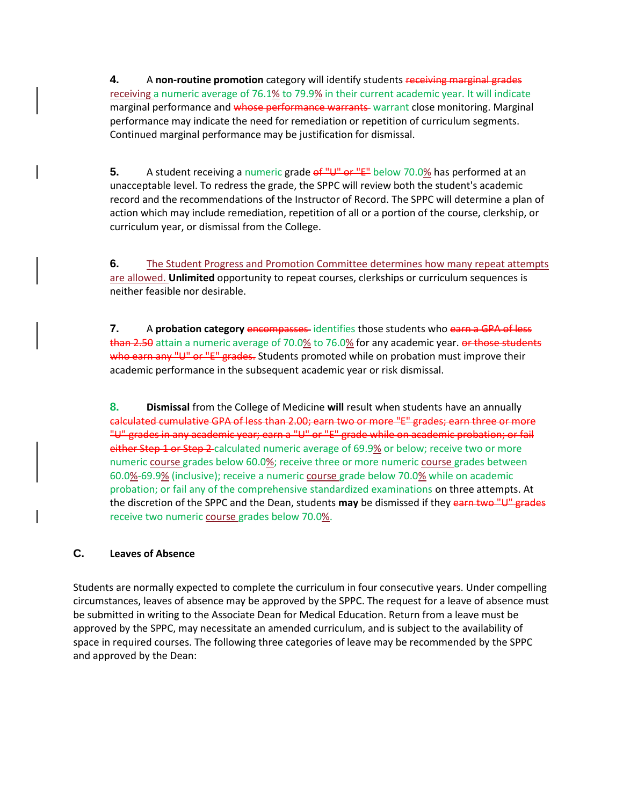**4.** A **non-routine promotion** category will identify students receiving marginal grades receiving a numeric average of 76.1% to 79.9% in their current academic year. It will indicate marginal performance and whose performance warrants warrant close monitoring. Marginal performance may indicate the need for remediation or repetition of curriculum segments. Continued marginal performance may be justification for dismissal.

**5.** A student receiving a numeric grade of "U" or "E" below 70.0% has performed at an unacceptable level. To redress the grade, the SPPC will review both the student's academic record and the recommendations of the Instructor of Record. The SPPC will determine a plan of action which may include remediation, repetition of all or a portion of the course, clerkship, or curriculum year, or dismissal from the College.

**6.** The Student Progress and Promotion Committee determines how many repeat attempts are allowed. **Unlimited** opportunity to repeat courses, clerkships or curriculum sequences is neither feasible nor desirable.

**7.** A **probation category** encompasses identifies those students who earn a GPA of less than 2.50 attain a numeric average of 70.0% to 76.0% for any academic year. or those students who earn any "U" or "E" grades. Students promoted while on probation must improve their academic performance in the subsequent academic year or risk dismissal.

**8. Dismissal** from the College of Medicine **will** result when students have an annually calculated cumulative GPA of less than 2.00; earn two or more "E" grades; earn three or more "U" grades in any academic year; earn a "U" or "E" grade while on academic probation; or fail either Step 1 or Step 2-calculated numeric average of 69.9% or below; receive two or more numeric course grades below 60.0%; receive three or more numeric course grades between 60.0%-69.9% (inclusive); receive a numeric course grade below 70.0% while on academic probation; or fail any of the comprehensive standardized examinations on three attempts. At the discretion of the SPPC and the Dean, students **may** be dismissed if they earn two "U" grades receive two numeric course grades below 70.0%.

### **C. Leaves of Absence**

Students are normally expected to complete the curriculum in four consecutive years. Under compelling circumstances, leaves of absence may be approved by the SPPC. The request for a leave of absence must be submitted in writing to the Associate Dean for Medical Education. Return from a leave must be approved by the SPPC, may necessitate an amended curriculum, and is subject to the availability of space in required courses. The following three categories of leave may be recommended by the SPPC and approved by the Dean: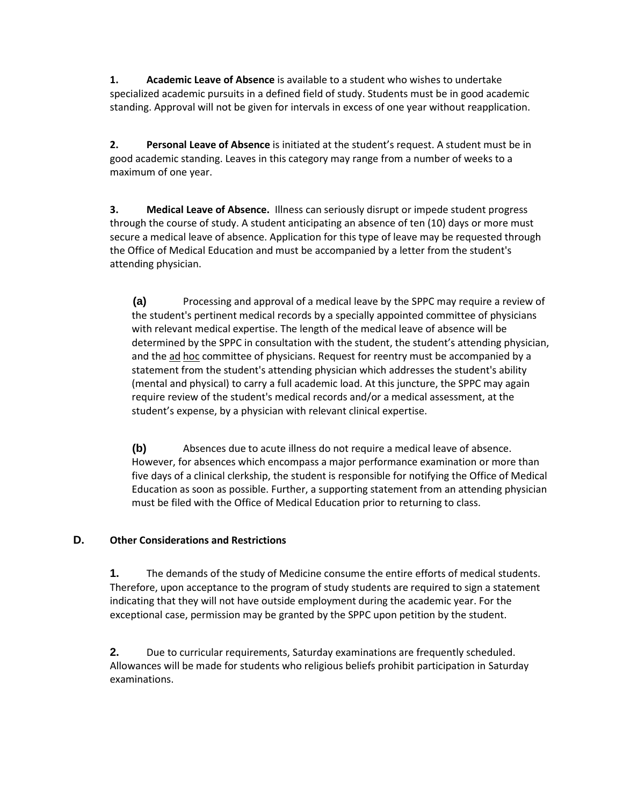**1. Academic Leave of Absence** is available to a student who wishes to undertake specialized academic pursuits in a defined field of study. Students must be in good academic standing. Approval will not be given for intervals in excess of one year without reapplication.

**2. Personal Leave of Absence** is initiated at the student's request. A student must be in good academic standing. Leaves in this category may range from a number of weeks to a maximum of one year.

**3. Medical Leave of Absence.** Illness can seriously disrupt or impede student progress through the course of study. A student anticipating an absence of ten (10) days or more must secure a medical leave of absence. Application for this type of leave may be requested through the Office of Medical Education and must be accompanied by a letter from the student's attending physician.

**(a)** Processing and approval of a medical leave by the SPPC may require a review of the student's pertinent medical records by a specially appointed committee of physicians with relevant medical expertise. The length of the medical leave of absence will be determined by the SPPC in consultation with the student, the student's attending physician, and the ad hoc committee of physicians. Request for reentry must be accompanied by a statement from the student's attending physician which addresses the student's ability (mental and physical) to carry a full academic load. At this juncture, the SPPC may again require review of the student's medical records and/or a medical assessment, at the student's expense, by a physician with relevant clinical expertise.

**(b)** Absences due to acute illness do not require a medical leave of absence. However, for absences which encompass a major performance examination or more than five days of a clinical clerkship, the student is responsible for notifying the Office of Medical Education as soon as possible. Further, a supporting statement from an attending physician must be filed with the Office of Medical Education prior to returning to class.

### **D. Other Considerations and Restrictions**

**1.** The demands of the study of Medicine consume the entire efforts of medical students. Therefore, upon acceptance to the program of study students are required to sign a statement indicating that they will not have outside employment during the academic year. For the exceptional case, permission may be granted by the SPPC upon petition by the student.

**2.** Due to curricular requirements, Saturday examinations are frequently scheduled. Allowances will be made for students who religious beliefs prohibit participation in Saturday examinations.